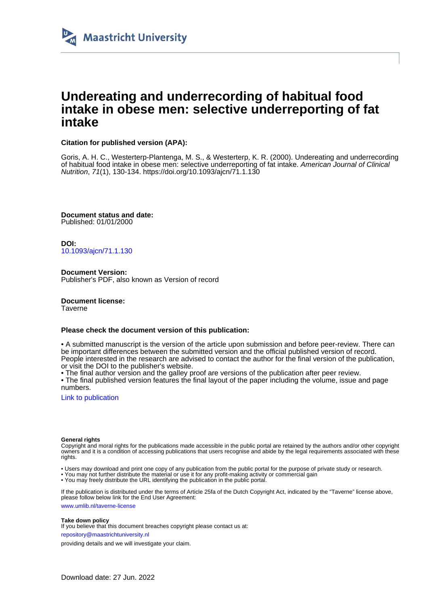

## **Undereating and underrecording of habitual food intake in obese men: selective underreporting of fat intake**

## **Citation for published version (APA):**

Goris, A. H. C., Westerterp-Plantenga, M. S., & Westerterp, K. R. (2000). Undereating and underrecording of habitual food intake in obese men: selective underreporting of fat intake. American Journal of Clinical Nutrition, 71(1), 130-134. <https://doi.org/10.1093/ajcn/71.1.130>

**Document status and date:** Published: 01/01/2000

**DOI:** [10.1093/ajcn/71.1.130](https://doi.org/10.1093/ajcn/71.1.130)

**Document Version:** Publisher's PDF, also known as Version of record

**Document license:** Taverne

#### **Please check the document version of this publication:**

• A submitted manuscript is the version of the article upon submission and before peer-review. There can be important differences between the submitted version and the official published version of record. People interested in the research are advised to contact the author for the final version of the publication, or visit the DOI to the publisher's website.

• The final author version and the galley proof are versions of the publication after peer review.

• The final published version features the final layout of the paper including the volume, issue and page numbers.

[Link to publication](https://cris.maastrichtuniversity.nl/en/publications/54bb9693-719a-4d39-aac3-c94db73617d1)

#### **General rights**

Copyright and moral rights for the publications made accessible in the public portal are retained by the authors and/or other copyright owners and it is a condition of accessing publications that users recognise and abide by the legal requirements associated with these rights.

• Users may download and print one copy of any publication from the public portal for the purpose of private study or research.

• You may not further distribute the material or use it for any profit-making activity or commercial gain

• You may freely distribute the URL identifying the publication in the public portal.

If the publication is distributed under the terms of Article 25fa of the Dutch Copyright Act, indicated by the "Taverne" license above, please follow below link for the End User Agreement:

www.umlib.nl/taverne-license

#### **Take down policy**

If you believe that this document breaches copyright please contact us at:

repository@maastrichtuniversity.nl

providing details and we will investigate your claim.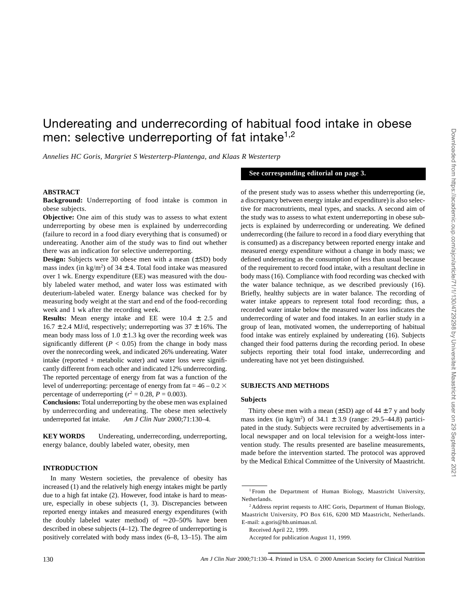# Undereating and underrecording of habitual food intake in obese men: selective underreporting of fat intake<sup>1,2</sup>

*Annelies HC Goris, Margriet S Westerterp-Plantenga, and Klaas R Westerterp*

#### **ABSTRACT**

**Background:** Underreporting of food intake is common in obese subjects.

**Objective:** One aim of this study was to assess to what extent underreporting by obese men is explained by underrecording (failure to record in a food diary everything that is consumed) or undereating. Another aim of the study was to find out whether there was an indication for selective underreporting.

**Design:** Subjects were 30 obese men with a mean (±SD) body mass index (in  $\text{kg/m}^2$ ) of 34  $\pm$  4. Total food intake was measured over 1 wk. Energy expenditure (EE) was measured with the doubly labeled water method, and water loss was estimated with deuterium-labeled water. Energy balance was checked for by measuring body weight at the start and end of the food-recording week and 1 wk after the recording week.

**Results:** Mean energy intake and EE were 10.4 ± 2.5 and  $16.7 \pm 2.4$  MJ/d, respectively; underreporting was  $37 \pm 16$ %. The mean body mass loss of  $1.0 \pm 1.3$  kg over the recording week was significantly different ( $P < 0.05$ ) from the change in body mass over the nonrecording week, and indicated 26% undereating. Water intake (reported + metabolic water) and water loss were significantly different from each other and indicated 12% underrecording. The reported percentage of energy from fat was a function of the level of underreporting: percentage of energy from fat =  $46 - 0.2 \times$ percentage of underreporting ( $r^2 = 0.28$ ,  $P = 0.003$ ).

**Conclusions:** Total underreporting by the obese men was explained by underrecording and undereating. The obese men selectively underreported fat intake. *Am J Clin Nutr* 2000;71:130–4.

**KEY WORDS** Undereating, underrecording, underreporting, energy balance, doubly labeled water, obesity, men

### **INTRODUCTION**

In many Western societies, the prevalence of obesity has increased (1) and the relatively high energy intakes might be partly due to a high fat intake (2). However, food intake is hard to measure, especially in obese subjects (1, 3). Discrepancies between reported energy intakes and measured energy expenditures (with the doubly labeled water method) of  $\approx$ 20–50% have been described in obese subjects (4–12). The degree of underreporting is positively correlated with body mass index (6–8, 13–15). The aim of the present study was to assess whether this underreporting (ie, a discrepancy between energy intake and expenditure) is also selective for macronutrients, meal types, and snacks. A second aim of the study was to assess to what extent underreporting in obese subjects is explained by underrecording or undereating. We defined underrecording (the failure to record in a food diary everything that is consumed) as a discrepancy between reported energy intake and measured energy expenditure without a change in body mass; we defined undereating as the consumption of less than usual because of the requirement to record food intake, with a resultant decline in body mass (16). Compliance with food recording was checked with the water balance technique, as we described previously (16). Briefly, healthy subjects are in water balance. The recording of water intake appears to represent total food recording; thus, a recorded water intake below the measured water loss indicates the underrecording of water and food intakes. In an earlier study in a group of lean, motivated women, the underreporting of habitual food intake was entirely explained by undereating (16). Subjects changed their food patterns during the recording period. In obese subjects reporting their total food intake, underrecording and undereating have not yet been distinguished.

**See corresponding editorial on page 3.**

#### **SUBJECTS AND METHODS**

#### **Subjects**

Thirty obese men with a mean  $(\pm SD)$  age of  $44 \pm 7$  y and body mass index (in  $\text{kg/m}^2$ ) of 34.1  $\pm$  3.9 (range: 29.5–44.8) participated in the study. Subjects were recruited by advertisements in a local newspaper and on local television for a weight-loss intervention study. The results presented are baseline measurements, made before the intervention started. The protocol was approved by the Medical Ethical Committee of the University of Maastricht.

Received April 22, 1999.

<sup>1</sup> From the Department of Human Biology, Maastricht University, Netherlands.

<sup>&</sup>lt;sup>2</sup> Address reprint requests to AHC Goris, Department of Human Biology, Maastricht University, PO Box 616, 6200 MD Maastricht, Netherlands. E-mail: a.goris@hb.unimaas.nl.

Accepted for publication August 11, 1999.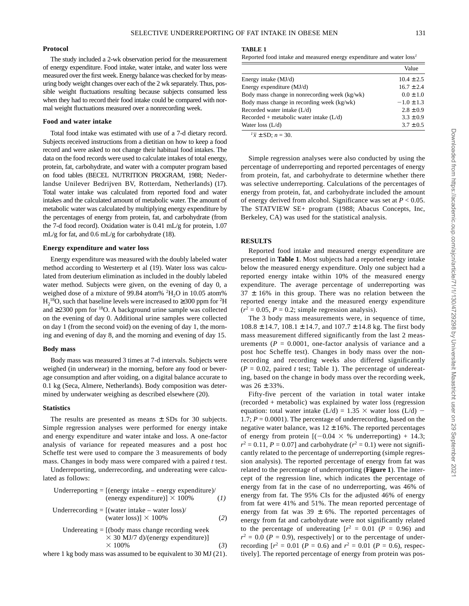#### **Protocol**

The study included a 2-wk observation period for the measurement of energy expenditure. Food intake, water intake, and water loss were measured over the first week. Energy balance was checked for by measuring body weight changes over each of the 2 wk separately. Thus, possible weight fluctuations resulting because subjects consumed less when they had to record their food intake could be compared with normal weight fluctuations measured over a nonrecording week.

## **Food and water intake**

Total food intake was estimated with use of a 7-d dietary record. Subjects received instructions from a dietitian on how to keep a food record and were asked to not change their habitual food intakes. The data on the food records were used to calculate intakes of total energy, protein, fat, carbohydrate, and water with a computer program based on food tables (BECEL NUTRITION PROGRAM, 1988; Nederlandse Unilever Bedrijven BV, Rotterdam, Netherlands) (17). Total water intake was calculated from reported food and water intakes and the calculated amount of metabolic water. The amount of metabolic water was calculated by multiplying energy expenditure by the percentages of energy from protein, fat, and carbohydrate (from the 7-d food record). Oxidation water is 0.41 mL/g for protein, 1.07 mL/g for fat, and 0.6 mL/g for carbohydrate (18).

#### **Energy expenditure and water loss**

Energy expenditure was measured with the doubly labeled water method according to Westerterp et al (19). Water loss was calculated from deuterium elimination as included in the doubly labeled water method. Subjects were given, on the evening of day 0, a weighed dose of a mixture of 99.84 atom%  ${}^{2}H_{2}O$  in 10.05 atom%  $H_2^{18}O$ , such that baseline levels were increased to  $\geq$  300 ppm for <sup>2</sup>H and  $\geq$  2300 ppm for <sup>18</sup>O. A background urine sample was collected on the evening of day 0. Additional urine samples were collected on day 1 (from the second void) on the evening of day 1, the morning and evening of day 8, and the morning and evening of day 15.

#### **Body mass**

Body mass was measured 3 times at 7-d intervals. Subjects were weighed (in underwear) in the morning, before any food or beverage consumption and after voiding, on a digital balance accurate to 0.1 kg (Seca, Almere, Netherlands). Body composition was determined by underwater weighing as described elsewhere (20).

### **Statistics**

The results are presented as means  $\pm$  SDs for 30 subjects. Simple regression analyses were performed for energy intake and energy expenditure and water intake and loss. A one-factor analysis of variance for repeated measures and a post hoc Scheffe test were used to compare the 3 measurements of body mass. Changes in body mass were compared with a paired *t* test.

Underreporting, underrecording, and undereating were calculated as follows:

Underreporting = [(energy intake – energy expenditure) / (energy expenditure)] 
$$
\times
$$
 100% (1)

\nUnderrecording = [(water intake – water loss) / (water loss)]  $\times$  100% (2)

Under eating = [(body mass change recording week 
$$
\times
$$
 30 MJ/7 d)/(energy expenditure)]

\n $\times$  100%

\n(3)

where 1 kg body mass was assumed to be equivalent to 30 MJ (21).

Reported food intake and measured energy expenditure and water loss*<sup>1</sup>*

|                                               | Value          |
|-----------------------------------------------|----------------|
| Energy intake (MJ/d)                          | $10.4 \pm 2.5$ |
| Energy expenditure (MJ/d)                     | $16.7 \pm 2.4$ |
| Body mass change in nonrecording week (kg/wk) | $0.0 \pm 1.0$  |
| Body mass change in recording week (kg/wk)    | $-1.0 \pm 1.3$ |
| Recorded water intake (L/d)                   | $2.8 \pm 0.9$  |
| $Recorded + metabolic water intake (L/d)$     | $3.3 \pm 0.9$  |
| Water loss $(L/d)$                            | $3.7 \pm 0.5$  |
|                                               |                |

 $\sqrt[n]{x} \pm SD$ ; *n* = 30.

Simple regression analyses were also conducted by using the percentage of underreporting and reported percentages of energy from protein, fat, and carbohydrate to determine whether there was selective underreporting. Calculations of the percentages of energy from protein, fat, and carbohydrate included the amount of energy derived from alcohol. Significance was set at *P* < 0.05. The STATVIEW SE+ program (1988; Abacus Concepts, Inc, Berkeley, CA) was used for the statistical analysis.

## **RESULTS**

Reported food intake and measured energy expenditure are presented in **Table 1**. Most subjects had a reported energy intake below the measured energy expenditure. Only one subject had a reported energy intake within 10% of the measured energy expenditure. The average percentage of underreporting was  $37 \pm 16\%$  in this group. There was no relation between the reported energy intake and the measured energy expenditure  $(r^2 = 0.05, P = 0.2$ ; simple regression analysis).

The 3 body mass measurements were, in sequence of time,  $108.8 \pm 14.7$ ,  $108.1 \pm 14.7$ , and  $107.7 \pm 14.8$  kg. The first body mass measurement differed significantly from the last 2 measurements  $(P = 0.0001$ , one-factor analysis of variance and a post hoc Scheffe test). Changes in body mass over the nonrecording and recording weeks also differed significantly  $(P = 0.02$ , paired *t* test; Table 1). The percentage of undereating, based on the change in body mass over the recording week, was 26 ± 33%.

Fifty-five percent of the variation in total water intake (recorded + metabolic) was explained by water loss (regression equation: total water intake (L/d) = 1.35  $\times$  water loss (L/d) – 1.7; *P* = 0.0001). The percentage of underrecording, based on the negative water balance, was  $12 \pm 16\%$ . The reported percentages of energy from protein  $[(-0.04 \times % \times % \times 10^{19}]$  + 14.3;  $r^2 = 0.11$ ,  $P = 0.07$ ] and carbohydrate ( $r^2 = 0.1$ ) were not significantly related to the percentage of underreporting (simple regression analysis). The reported percentage of energy from fat was related to the percentage of underreporting (**Figure 1**). The intercept of the regression line, which indicates the percentage of energy from fat in the case of no underreporting, was 46% of energy from fat. The 95% CIs for the adjusted 46% of energy from fat were 41% and 51%. The mean reported percentage of energy from fat was 39  $\pm$  6%. The reported percentages of energy from fat and carbohydrate were not significantly related to the percentage of undereating  $[r^2 = 0.01 \, (P = 0.96)$  and  $r^2 = 0.0$  ( $P = 0.9$ ), respectively] or to the percentage of underrecording  $[r^2 = 0.01 \ (P = 0.6)$  and  $r^2 = 0.01 \ (P = 0.6)$ , respectively]. The reported percentage of energy from protein was pos-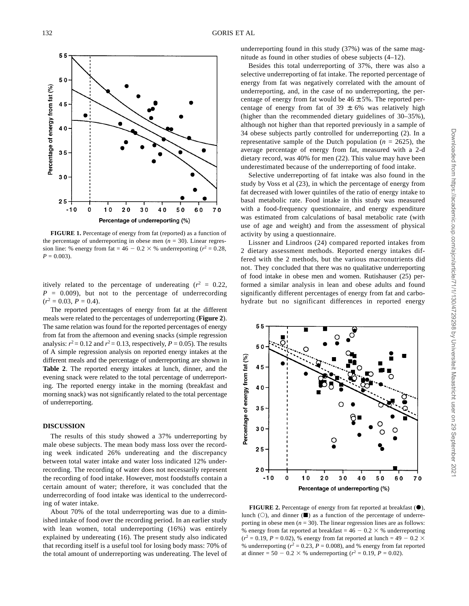

**FIGURE 1.** Percentage of energy from fat (reported) as a function of the percentage of underreporting in obese men  $(n = 30)$ . Linear regression line: % energy from fat =  $46 - 0.2 \times$  % underreporting ( $r^2 = 0.28$ ,  $P = 0.003$ .

itively related to the percentage of undereating  $(r^2 = 0.22)$ ,  $P = 0.009$ , but not to the percentage of underrecording  $(r^2 = 0.03, P = 0.4).$ 

The reported percentages of energy from fat at the different meals were related to the percentages of underreporting (**Figure 2**). The same relation was found for the reported percentages of energy from fat from the afternoon and evening snacks (simple regression analysis:  $r^2 = 0.12$  and  $r^2 = 0.13$ , respectively,  $P = 0.05$ ). The results of A simple regression analysis on reported energy intakes at the different meals and the percentage of underreporting are shown in **Table 2**. The reported energy intakes at lunch, dinner, and the evening snack were related to the total percentage of underreporting. The reported energy intake in the morning (breakfast and morning snack) was not significantly related to the total percentage of underreporting.

#### **DISCUSSION**

The results of this study showed a 37% underreporting by male obese subjects. The mean body mass loss over the recording week indicated 26% undereating and the discrepancy between total water intake and water loss indicated 12% underrecording. The recording of water does not necessarily represent the recording of food intake. However, most foodstuffs contain a certain amount of water; therefore, it was concluded that the underrecording of food intake was identical to the underrecording of water intake.

About 70% of the total underreporting was due to a diminished intake of food over the recording period. In an earlier study with lean women, total underreporting (16%) was entirely explained by undereating (16). The present study also indicated that recording itself is a useful tool for losing body mass: 70% of the total amount of underreporting was undereating. The level of underreporting found in this study (37%) was of the same magnitude as found in other studies of obese subjects (4–12).

Besides this total underreporting of 37%, there was also a selective underreporting of fat intake. The reported percentage of energy from fat was negatively correlated with the amount of underreporting, and, in the case of no underreporting, the percentage of energy from fat would be  $46 \pm 5\%$ . The reported percentage of energy from fat of 39  $\pm$  6% was relatively high (higher than the recommended dietary guidelines of 30–35%), although not higher than that reported previously in a sample of 34 obese subjects partly controlled for underreporting (2). In a representative sample of the Dutch population  $(n = 2625)$ , the average percentage of energy from fat, measured with a 2-d dietary record, was 40% for men (22). This value may have been underestimated because of the underreporting of food intake.

Selective underreporting of fat intake was also found in the study by Voss et al (23), in which the percentage of energy from fat decreased with lower quintiles of the ratio of energy intake to basal metabolic rate. Food intake in this study was measured with a food-frequency questionnaire, and energy expenditure was estimated from calculations of basal metabolic rate (with use of age and weight) and from the assessment of physical activity by using a questionnaire.

Lissner and Lindroos (24) compared reported intakes from 2 dietary assessment methods. Reported energy intakes differed with the 2 methods, but the various macronutrients did not. They concluded that there was no qualitative underreporting of food intake in obese men and women. Rutishauser (25) performed a similar analysis in lean and obese adults and found significantly different percentages of energy from fat and carbohydrate but no significant differences in reported energy



**FIGURE 2.** Percentage of energy from fat reported at breakfast  $(\bullet)$ , lunch ( $\circ$ ), and dinner ( $\blacksquare$ ) as a function of the percentage of underreporting in obese men  $(n = 30)$ . The linear regression lines are as follows: % energy from fat reported at breakfast =  $46 - 0.2 \times$  % underreporting  $(r^2 = 0.19, P = 0.02)$ , % energy from fat reported at lunch = 49 - 0.2  $\times$ % underreporting ( $r^2 = 0.23$ ,  $P = 0.008$ ), and % energy from fat reported at dinner =  $50 - 0.2 \times$  % underreporting ( $r^2 = 0.19$ ,  $P = 0.02$ ).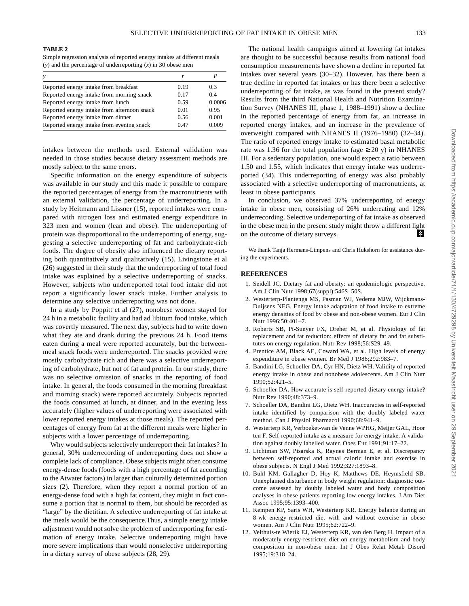#### **TABLE 2**

Simple regression analysis of reported energy intakes at different meals (*y*) and the percentage of underreporting (*x*) in 30 obese men

| $\mathcal V$                                |      |        |
|---------------------------------------------|------|--------|
| Reported energy intake from breakfast       | 0.19 | 0.3    |
| Reported energy intake from morning snack   | 0.17 | 0.4    |
| Reported energy intake from lunch           | 0.59 | 0.0006 |
| Reported energy intake from afternoon snack | 0.01 | 0.95   |
| Reported energy intake from dinner          | 0.56 | 0.001  |
| Reported energy intake from evening snack   | 0.47 | 0.009  |
|                                             |      |        |

intakes between the methods used. External validation was needed in those studies because dietary assessment methods are mostly subject to the same errors.

Specific information on the energy expenditure of subjects was available in our study and this made it possible to compare the reported percentages of energy from the macronutrients with an external validation, the percentage of underreporting. In a study by Heitmann and Lissner (15), reported intakes were compared with nitrogen loss and estimated energy expenditure in 323 men and women (lean and obese). The underreporting of protein was disproportional to the underreporting of energy, suggesting a selective underreporting of fat and carbohydrate-rich foods. The degree of obesity also influenced the dietary reporting both quantitatively and qualitatively (15). Livingstone et al (26) suggested in their study that the underreporting of total food intake was explained by a selective underreporting of snacks. However, subjects who underreported total food intake did not report a significantly lower snack intake. Further analysis to determine any selective underreporting was not done.

In a study by Poppitt et al (27), nonobese women stayed for 24 h in a metabolic facility and had ad libitum food intake, which was covertly measured. The next day, subjects had to write down what they ate and drank during the previous 24 h. Food items eaten during a meal were reported accurately, but the betweenmeal snack foods were underreported. The snacks provided were mostly carbohydrate rich and there was a selective underreporting of carbohydrate, but not of fat and protein. In our study, there was no selective omission of snacks in the reporting of food intake. In general, the foods consumed in the morning (breakfast and morning snack) were reported accurately. Subjects reported the foods consumed at lunch, at dinner, and in the evening less accurately (higher values of underreporting were associated with lower reported energy intakes at those meals). The reported percentages of energy from fat at the different meals were higher in subjects with a lower percentage of underreporting.

Why would subjects selectively underreport their fat intakes? In general, 30% underrecording of underreporting does not show a complete lack of compliance. Obese subjects might often consume energy-dense foods (foods with a high percentage of fat according to the Atwater factors) in larger than culturally determined portion sizes (2). Therefore, when they report a normal portion of an energy-dense food with a high fat content, they might in fact consume a portion that is normal to them, but should be recorded as "large" by the dietitian. A selective underreporting of fat intake at the meals would be the consequence.Thus, a simple energy intake adjustment would not solve the problem of underreporting for estimation of energy intake. Selective underreporting might have more severe implications than would nonselective underreporting in a dietary survey of obese subjects (28, 29).

The national health campaigns aimed at lowering fat intakes are thought to be successful because results from national food consumption measurements have shown a decline in reported fat intakes over several years (30–32). However, has there been a true decline in reported fat intakes or has there been a selective underreporting of fat intake, as was found in the present study? Results from the third National Health and Nutrition Examination Survey (NHANES III, phase 1, 1988–1991) show a decline in the reported percentage of energy from fat, an increase in reported energy intakes, and an increase in the prevalence of overweight compared with NHANES II (1976–1980) (32–34). The ratio of reported energy intake to estimated basal metabolic rate was 1.36 for the total population (age  $\geq$  20 y) in NHANES III. For a sedentary population, one would expect a ratio between 1.50 and 1.55, which indicates that energy intake was underreported (34). This underreporting of energy was also probably associated with a selective underreporting of macronutrients, at least in obese participants.

In conclusion, we observed 37% underreporting of energy intake in obese men, consisting of 26% undereating and 12% underrecording. Selective underreporting of fat intake as observed in the obese men in the present study might throw a different light on the outcome of dietary surveys. 毕

We thank Tanja Hermans-Limpens and Chris Hukshorn for assistance during the experiments.

#### **REFERENCES**

- 1. Seidell JC. Dietary fat and obesity: an epidemiologic perspective. Am J Clin Nutr 1998;67(suppl):546S–50S.
- 2. Westerterp-Plantenga MS, Pasman WJ, Yedema MJW, Wijckmans-Duijsens NEG. Energy intake adaptation of food intake to extreme energy densities of food by obese and non-obese women. Eur J Clin Nutr 1996;50:401–7.
- 3. Roberts SB, Pi-Sunyer FX, Dreher M, et al. Physiology of fat replacement and fat reduction: effects of dietary fat and fat substitutes on energy regulation. Nutr Rev 1998;56:S29–49.
- 4. Prentice AM, Black AE, Coward WA, et al. High levels of energy expenditure in obese women. Br Med J 1986;292:983–7.
- 5. Bandini LG, Schoeller DA, Cyr HN, Dietz WH. Validity of reported energy intake in obese and nonobese adolescents. Am J Clin Nutr 1990;52:421–5.
- 6. Schoeller DA. How accurate is self-reported dietary energy intake? Nutr Rev 1990;48:373–9.
- 7. Schoeller DA, Bandini LG, Dietz WH. Inaccuracies in self-reported intake identified by comparison with the doubly labeled water method. Can J Physiol Pharmacol 1990;68:941–9.
- 8. Westerterp KR, Verboeket-van de Venne WPHG, Meijer GAL, Hoor ten F. Self-reported intake as a measure for energy intake. A validation against doubly labelled water. Obes Eur 1991;91:17–22.
- 9. Lichtman SW, Pisarska K, Raynes Berman E, et al. Discrepancy between self-reported and actual caloric intake and exercise in obese subjects. N Engl J Med 1992;327:1893–8.
- 10. Buhl KM, Gallagher D, Hoy K, Matthews DE, Heymsfield SB. Unexplained disturbance in body weight regulation: diagnostic outcome assessed by doubly labeled water and body composition analyses in obese patients reporting low energy intakes. J Am Diet Assoc 1995;95:1393–400.
- 11. Kempen KP, Saris WH, Westerterp KR. Energy balance during an 8-wk energy-restricted diet with and without exercise in obese women. Am J Clin Nutr 1995;62:722–9.
- 12. Velthuis-te Wierik EJ, Westerterp KR, van den Berg H. Impact of a moderately energy-restricted diet on energy metabolism and body composition in non-obese men. Int J Obes Relat Metab Disord 1995;19:318–24.